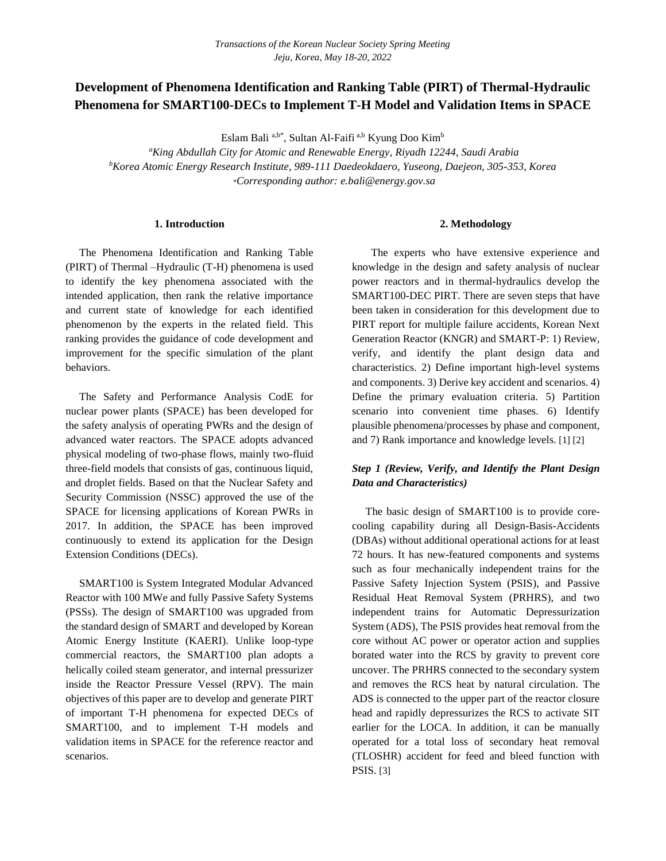# **Development of Phenomena Identification and Ranking Table (PIRT) of Thermal-Hydraulic Phenomena for SMART100-DECs to Implement T-H Model and Validation Items in SPACE**

Eslam Bali <sup>a,b\*</sup>, Sultan Al-Faifi <sup>a,b</sup> Kyung Doo Kim<sup>b</sup>

*<sup>a</sup>King Abdullah City for Atomic and Renewable Energy, Riyadh 12244, Saudi Arabia <sup>b</sup>Korea Atomic Energy Research Institute, 989-111 Daedeokdaero, Yuseong, Daejeon, 305-353, Korea* \**Corresponding author: e.bali@energy.gov.sa*

#### **1. Introduction**

 The Phenomena Identification and Ranking Table (PIRT) of Thermal –Hydraulic (T-H) phenomena is used to identify the key phenomena associated with the intended application, then rank the relative importance and current state of knowledge for each identified phenomenon by the experts in the related field. This ranking provides the guidance of code development and improvement for the specific simulation of the plant behaviors.

 The Safety and Performance Analysis CodE for nuclear power plants (SPACE) has been developed for the safety analysis of operating PWRs and the design of advanced water reactors. The SPACE adopts advanced physical modeling of two-phase flows, mainly two-fluid three-field models that consists of gas, continuous liquid, and droplet fields. Based on that the Nuclear Safety and Security Commission (NSSC) approved the use of the SPACE for licensing applications of Korean PWRs in 2017. In addition, the SPACE has been improved continuously to extend its application for the Design Extension Conditions (DECs).

 SMART100 is System Integrated Modular Advanced Reactor with 100 MWe and fully Passive Safety Systems (PSSs). The design of SMART100 was upgraded from the standard design of SMART and developed by Korean Atomic Energy Institute (KAERI). Unlike loop-type commercial reactors, the SMART100 plan adopts a helically coiled steam generator, and internal pressurizer inside the Reactor Pressure Vessel (RPV). The main objectives of this paper are to develop and generate PIRT of important T-H phenomena for expected DECs of SMART100, and to implement T-H models and validation items in SPACE for the reference reactor and scenarios.

#### **2. Methodology**

 The experts who have extensive experience and knowledge in the design and safety analysis of nuclear power reactors and in thermal-hydraulics develop the SMART100-DEC PIRT. There are seven steps that have been taken in consideration for this development due to PIRT report for multiple failure accidents, Korean Next Generation Reactor (KNGR) and SMART-P: 1) Review, verify, and identify the plant design data and characteristics. 2) Define important high-level systems and components. 3) Derive key accident and scenarios. 4) Define the primary evaluation criteria. 5) Partition scenario into convenient time phases. 6) Identify plausible phenomena/processes by phase and component, and 7) Rank importance and knowledge levels. [1] [2]

## *Step 1 (Review, Verify, and Identify the Plant Design Data and Characteristics)*

 The basic design of SMART100 is to provide corecooling capability during all Design-Basis-Accidents (DBAs) without additional operational actions for at least 72 hours. It has new-featured components and systems such as four mechanically independent trains for the Passive Safety Injection System (PSIS), and Passive Residual Heat Removal System (PRHRS), and two independent trains for Automatic Depressurization System (ADS), The PSIS provides heat removal from the core without AC power or operator action and supplies borated water into the RCS by gravity to prevent core uncover. The PRHRS connected to the secondary system and removes the RCS heat by natural circulation. The ADS is connected to the upper part of the reactor closure head and rapidly depressurizes the RCS to activate SIT earlier for the LOCA. In addition, it can be manually operated for a total loss of secondary heat removal (TLOSHR) accident for feed and bleed function with PSIS. [3]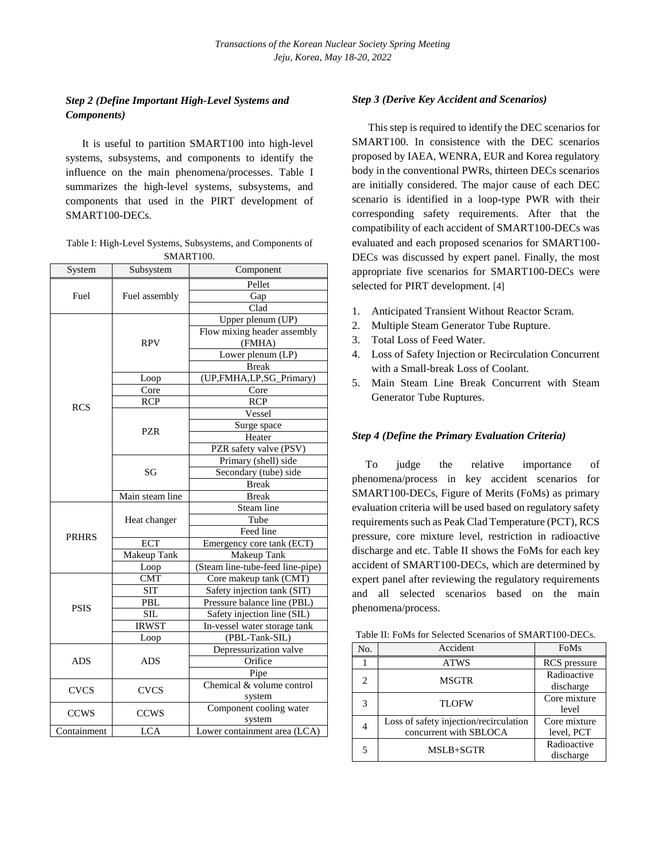## *Step 2 (Define Important High-Level Systems and Components)*

 It is useful to partition SMART100 into high-level systems, subsystems, and components to identify the influence on the main phenomena/processes. Table I summarizes the high-level systems, subsystems, and components that used in the PIRT development of SMART100-DECs.

| Table I: High-Level Systems, Subsystems, and Components of |
|------------------------------------------------------------|
| SMART <sub>100</sub> .                                     |

| System       | Subsystem       | Component                        |  |  |  |  |  |  |  |
|--------------|-----------------|----------------------------------|--|--|--|--|--|--|--|
|              |                 | Pellet                           |  |  |  |  |  |  |  |
| Fuel         | Fuel assembly   | Gap                              |  |  |  |  |  |  |  |
|              |                 | Clad                             |  |  |  |  |  |  |  |
|              |                 | Upper plenum (UP)                |  |  |  |  |  |  |  |
|              |                 | Flow mixing header assembly      |  |  |  |  |  |  |  |
|              | <b>RPV</b>      | (FMHA)                           |  |  |  |  |  |  |  |
|              |                 | Lower plenum $(LP)$              |  |  |  |  |  |  |  |
|              |                 | <b>Break</b>                     |  |  |  |  |  |  |  |
|              | Loop            | (UP,FMHA,LP,SG_Primary)          |  |  |  |  |  |  |  |
|              | Core            | Core                             |  |  |  |  |  |  |  |
| <b>RCS</b>   | <b>RCP</b>      | <b>RCP</b>                       |  |  |  |  |  |  |  |
|              |                 | Vessel                           |  |  |  |  |  |  |  |
|              |                 | Surge space                      |  |  |  |  |  |  |  |
|              | <b>PZR</b>      | Heater                           |  |  |  |  |  |  |  |
|              |                 | PZR safety valve (PSV)           |  |  |  |  |  |  |  |
|              |                 | Primary (shell) side             |  |  |  |  |  |  |  |
|              | SG              | Secondary (tube) side            |  |  |  |  |  |  |  |
|              |                 | <b>Break</b>                     |  |  |  |  |  |  |  |
|              | Main steam line | <b>Break</b>                     |  |  |  |  |  |  |  |
|              |                 | <b>Steam</b> line                |  |  |  |  |  |  |  |
|              | Heat changer    | Tube                             |  |  |  |  |  |  |  |
|              |                 | Feed line                        |  |  |  |  |  |  |  |
| <b>PRHRS</b> | ECT             | Emergency core tank (ECT)        |  |  |  |  |  |  |  |
|              | Makeup Tank     | Makeup Tank                      |  |  |  |  |  |  |  |
|              | Loop            | (Steam line-tube-feed line-pipe) |  |  |  |  |  |  |  |
|              | <b>CMT</b>      | Core makeup tank (CMT)           |  |  |  |  |  |  |  |
|              | <b>SIT</b>      | Safety injection tank (SIT)      |  |  |  |  |  |  |  |
|              | PBL             | Pressure balance line (PBL)      |  |  |  |  |  |  |  |
| <b>PSIS</b>  | <b>SIL</b>      | Safety injection line (SIL)      |  |  |  |  |  |  |  |
|              | <b>IRWST</b>    | In-vessel water storage tank     |  |  |  |  |  |  |  |
|              | Loop            | (PBL-Tank-SIL)                   |  |  |  |  |  |  |  |
|              |                 | Depressurization valve           |  |  |  |  |  |  |  |
| <b>ADS</b>   | <b>ADS</b>      | Orifice                          |  |  |  |  |  |  |  |
|              |                 | Pipe                             |  |  |  |  |  |  |  |
| <b>CVCS</b>  | <b>CVCS</b>     | Chemical & volume control        |  |  |  |  |  |  |  |
|              |                 | system                           |  |  |  |  |  |  |  |
| <b>CCWS</b>  | <b>CCWS</b>     | Component cooling water          |  |  |  |  |  |  |  |
|              |                 | system                           |  |  |  |  |  |  |  |
| Containment  | <b>LCA</b>      | Lower containment area (LCA)     |  |  |  |  |  |  |  |

### *Step 3 (Derive Key Accident and Scenarios)*

 This step is required to identify the DEC scenarios for SMART100. In consistence with the DEC scenarios proposed by IAEA, WENRA, EUR and Korea regulatory body in the conventional PWRs, thirteen DECs scenarios are initially considered. The major cause of each DEC scenario is identified in a loop-type PWR with their corresponding safety requirements. After that the compatibility of each accident of SMART100-DECs was evaluated and each proposed scenarios for SMART100- DECs was discussed by expert panel. Finally, the most appropriate five scenarios for SMART100-DECs were selected for PIRT development. [4]

- 1. Anticipated Transient Without Reactor Scram.
- 2. Multiple Steam Generator Tube Rupture.
- 3. Total Loss of Feed Water.
- 4. Loss of Safety Injection or Recirculation Concurrent with a Small-break Loss of Coolant.
- 5. Main Steam Line Break Concurrent with Steam Generator Tube Ruptures.

### *Step 4 (Define the Primary Evaluation Criteria)*

 To judge the relative importance of phenomena/process in key accident scenarios for SMART100-DECs, Figure of Merits (FoMs) as primary evaluation criteria will be used based on regulatory safety requirements such as Peak Clad Temperature (PCT), RCS pressure, core mixture level, restriction in radioactive discharge and etc. Table II shows the FoMs for each key accident of SMART100-DECs, which are determined by expert panel after reviewing the regulatory requirements and all selected scenarios based on the main phenomena/process.

| No. | Accident                                                         | FoMs                       |  |  |  |
|-----|------------------------------------------------------------------|----------------------------|--|--|--|
|     | <b>ATWS</b>                                                      | RCS pressure               |  |  |  |
| 2   | <b>MSGTR</b>                                                     | Radioactive<br>discharge   |  |  |  |
| 3   | <b>TLOFW</b>                                                     | Core mixture<br>level      |  |  |  |
|     | Loss of safety injection/recirculation<br>concurrent with SBLOCA | Core mixture<br>level, PCT |  |  |  |
| 5   | MSLB+SGTR                                                        | Radioactive<br>discharge   |  |  |  |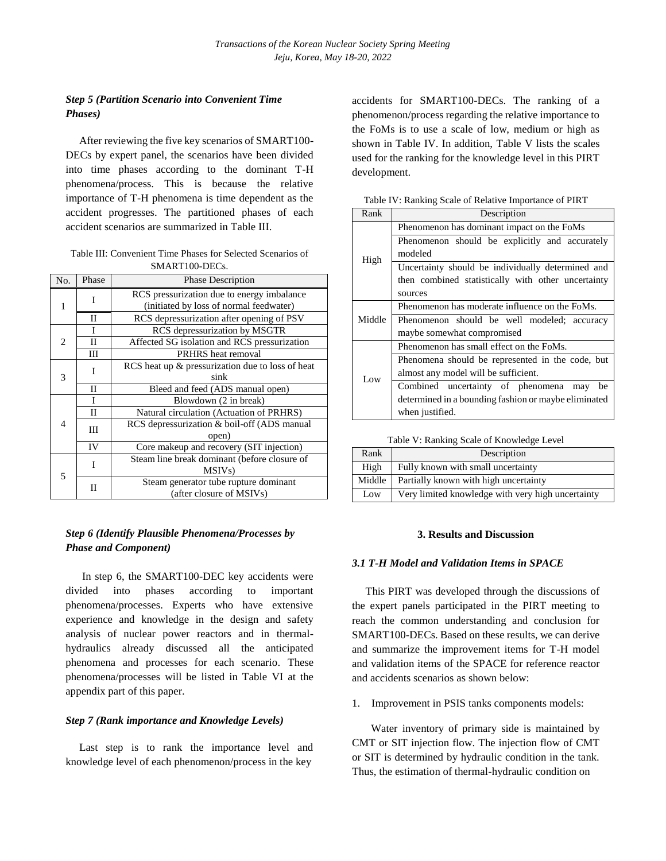## *Step 5 (Partition Scenario into Convenient Time Phases)*

After reviewing the five key scenarios of SMART100- DECs by expert panel, the scenarios have been divided into time phases according to the dominant T-H phenomena/process. This is because the relative importance of T-H phenomena is time dependent as the accident progresses. The partitioned phases of each accident scenarios are summarized in Table III.

| Table III: Convenient Time Phases for Selected Scenarios of |
|-------------------------------------------------------------|
| SMART <sub>100</sub> -DEC <sub>s</sub> .                    |

| No.                      | Phase                                         | <b>Phase Description</b>                                                              |  |  |  |  |  |  |
|--------------------------|-----------------------------------------------|---------------------------------------------------------------------------------------|--|--|--|--|--|--|
| 1                        | I                                             | RCS pressurization due to energy imbalance<br>(initiated by loss of normal feedwater) |  |  |  |  |  |  |
|                          | П                                             | RCS depressurization after opening of PSV                                             |  |  |  |  |  |  |
|                          | T                                             | RCS depressurization by MSGTR                                                         |  |  |  |  |  |  |
| 2                        | $\mathbf{I}$                                  | Affected SG isolation and RCS pressurization                                          |  |  |  |  |  |  |
|                          | PRHRS heat removal<br>Ш                       |                                                                                       |  |  |  |  |  |  |
|                          | T                                             | RCS heat up & pressurization due to loss of heat                                      |  |  |  |  |  |  |
| 3                        |                                               | sink                                                                                  |  |  |  |  |  |  |
|                          | П<br>Bleed and feed (ADS manual open)         |                                                                                       |  |  |  |  |  |  |
| 4                        | I                                             | Blowdown (2 in break)                                                                 |  |  |  |  |  |  |
|                          | Natural circulation (Actuation of PRHRS)<br>П |                                                                                       |  |  |  |  |  |  |
|                          | Ш                                             | RCS depressurization & boil-off (ADS manual                                           |  |  |  |  |  |  |
|                          |                                               | open)                                                                                 |  |  |  |  |  |  |
|                          | IV                                            | Core makeup and recovery (SIT injection)                                              |  |  |  |  |  |  |
|                          | T                                             | Steam line break dominant (before closure of                                          |  |  |  |  |  |  |
| $\overline{\phantom{0}}$ |                                               | MSIV <sub>s</sub> )                                                                   |  |  |  |  |  |  |
|                          | П                                             | Steam generator tube rupture dominant                                                 |  |  |  |  |  |  |
|                          |                                               | (after closure of MSIVs)                                                              |  |  |  |  |  |  |

### *Step 6 (Identify Plausible Phenomena/Processes by Phase and Component)*

 In step 6, the SMART100-DEC key accidents were divided into phases according to important phenomena/processes. Experts who have extensive experience and knowledge in the design and safety analysis of nuclear power reactors and in thermalhydraulics already discussed all the anticipated phenomena and processes for each scenario. These phenomena/processes will be listed in Table VI at the appendix part of this paper.

### *Step 7 (Rank importance and Knowledge Levels)*

 Last step is to rank the importance level and knowledge level of each phenomenon/process in the key

accidents for SMART100-DECs. The ranking of a phenomenon/process regarding the relative importance to the FoMs is to use a scale of low, medium or high as shown in Table IV. In addition, Table V lists the scales used for the ranking for the knowledge level in this PIRT development.

| Rank   | Description                                          |  |  |  |  |  |  |  |  |  |
|--------|------------------------------------------------------|--|--|--|--|--|--|--|--|--|
| High   | Phenomenon has dominant impact on the FoMs           |  |  |  |  |  |  |  |  |  |
|        | Phenomenon should be explicitly and accurately       |  |  |  |  |  |  |  |  |  |
|        | modeled                                              |  |  |  |  |  |  |  |  |  |
|        | Uncertainty should be individually determined and    |  |  |  |  |  |  |  |  |  |
|        | then combined statistically with other uncertainty   |  |  |  |  |  |  |  |  |  |
|        | sources                                              |  |  |  |  |  |  |  |  |  |
| Middle | Phenomenon has moderate influence on the FoMs.       |  |  |  |  |  |  |  |  |  |
|        | Phenomenon should be well modeled; accuracy          |  |  |  |  |  |  |  |  |  |
|        | maybe somewhat compromised                           |  |  |  |  |  |  |  |  |  |
|        | Phenomenon has small effect on the FoMs.             |  |  |  |  |  |  |  |  |  |
| Low    | Phenomena should be represented in the code, but     |  |  |  |  |  |  |  |  |  |
|        | almost any model will be sufficient.                 |  |  |  |  |  |  |  |  |  |
|        | Combined uncertainty of phenomena<br>be<br>may       |  |  |  |  |  |  |  |  |  |
|        | determined in a bounding fashion or maybe eliminated |  |  |  |  |  |  |  |  |  |
|        | when justified.                                      |  |  |  |  |  |  |  |  |  |

Table IV: Ranking Scale of Relative Importance of PIRT

| Rank   | Description                                       |  |  |  |  |  |  |
|--------|---------------------------------------------------|--|--|--|--|--|--|
| High   | Fully known with small uncertainty                |  |  |  |  |  |  |
| Middle | Partially known with high uncertainty             |  |  |  |  |  |  |
| Low    | Very limited knowledge with very high uncertainty |  |  |  |  |  |  |

### **3. Results and Discussion**

### *3.1 T-H Model and Validation Items in SPACE*

This PIRT was developed through the discussions of the expert panels participated in the PIRT meeting to reach the common understanding and conclusion for SMART100-DECs. Based on these results, we can derive and summarize the improvement items for T-H model and validation items of the SPACE for reference reactor and accidents scenarios as shown below:

1. Improvement in PSIS tanks components models:

 Water inventory of primary side is maintained by CMT or SIT injection flow. The injection flow of CMT or SIT is determined by hydraulic condition in the tank. Thus, the estimation of thermal-hydraulic condition on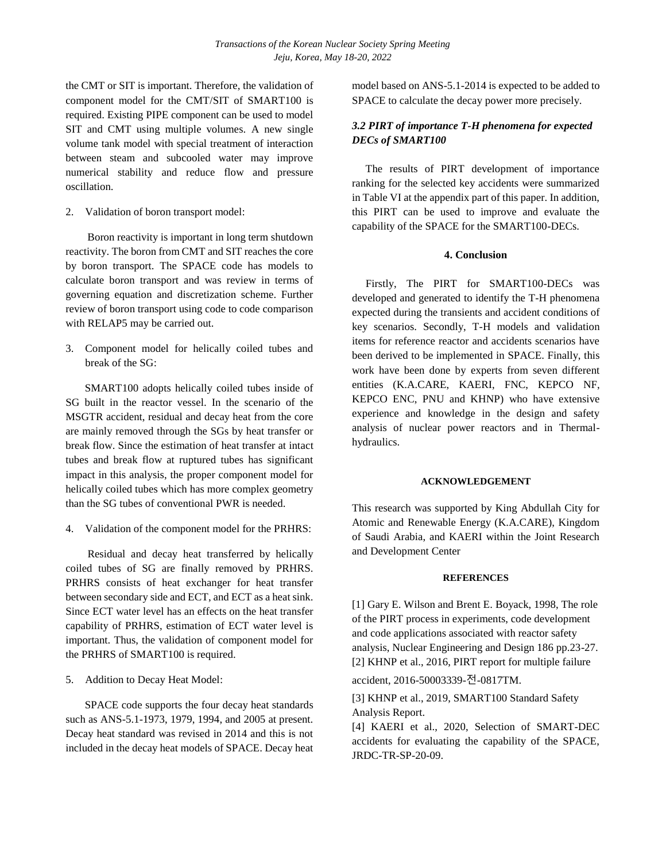the CMT or SIT is important. Therefore, the validation of component model for the CMT/SIT of SMART100 is required. Existing PIPE component can be used to model SIT and CMT using multiple volumes. A new single volume tank model with special treatment of interaction between steam and subcooled water may improve numerical stability and reduce flow and pressure oscillation.

2. Validation of boron transport model:

 Boron reactivity is important in long term shutdown reactivity. The boron from CMT and SIT reaches the core by boron transport. The SPACE code has models to calculate boron transport and was review in terms of governing equation and discretization scheme. Further review of boron transport using code to code comparison with RELAP5 may be carried out.

3. Component model for helically coiled tubes and break of the SG:

 SMART100 adopts helically coiled tubes inside of SG built in the reactor vessel. In the scenario of the MSGTR accident, residual and decay heat from the core are mainly removed through the SGs by heat transfer or break flow. Since the estimation of heat transfer at intact tubes and break flow at ruptured tubes has significant impact in this analysis, the proper component model for helically coiled tubes which has more complex geometry than the SG tubes of conventional PWR is needed.

4. Validation of the component model for the PRHRS:

 Residual and decay heat transferred by helically coiled tubes of SG are finally removed by PRHRS. PRHRS consists of heat exchanger for heat transfer between secondary side and ECT, and ECT as a heat sink. Since ECT water level has an effects on the heat transfer capability of PRHRS, estimation of ECT water level is important. Thus, the validation of component model for the PRHRS of SMART100 is required.

5. Addition to Decay Heat Model:

 SPACE code supports the four decay heat standards such as ANS-5.1-1973, 1979, 1994, and 2005 at present. Decay heat standard was revised in 2014 and this is not included in the decay heat models of SPACE. Decay heat model based on ANS-5.1-2014 is expected to be added to SPACE to calculate the decay power more precisely.

## *3.2 PIRT of importance T-H phenomena for expected DECs of SMART100*

The results of PIRT development of importance ranking for the selected key accidents were summarized in Table VI at the appendix part of this paper. In addition, this PIRT can be used to improve and evaluate the capability of the SPACE for the SMART100-DECs.

### **4. Conclusion**

 Firstly, The PIRT for SMART100-DECs was developed and generated to identify the T-H phenomena expected during the transients and accident conditions of key scenarios. Secondly, T-H models and validation items for reference reactor and accidents scenarios have been derived to be implemented in SPACE. Finally, this work have been done by experts from seven different entities (K.A.CARE, KAERI, FNC, KEPCO NF, KEPCO ENC, PNU and KHNP) who have extensive experience and knowledge in the design and safety analysis of nuclear power reactors and in Thermalhydraulics.

### **ACKNOWLEDGEMENT**

This research was supported by King Abdullah City for Atomic and Renewable Energy (K.A.CARE), Kingdom of Saudi Arabia, and KAERI within the Joint Research and Development Center

### **REFERENCES**

[1] Gary E. Wilson and Brent E. Boyack, 1998, The role of the PIRT process in experiments, code development and code applications associated with reactor safety analysis, Nuclear Engineering and Design 186 pp.23-27. [2] KHNP et al., 2016, PIRT report for multiple failure

accident, 2016-50003339-전-0817TM.

[3] KHNP et al., 2019, SMART100 Standard Safety Analysis Report.

[4] KAERI et al., 2020, Selection of SMART-DEC accidents for evaluating the capability of the SPACE, JRDC-TR-SP-20-09.